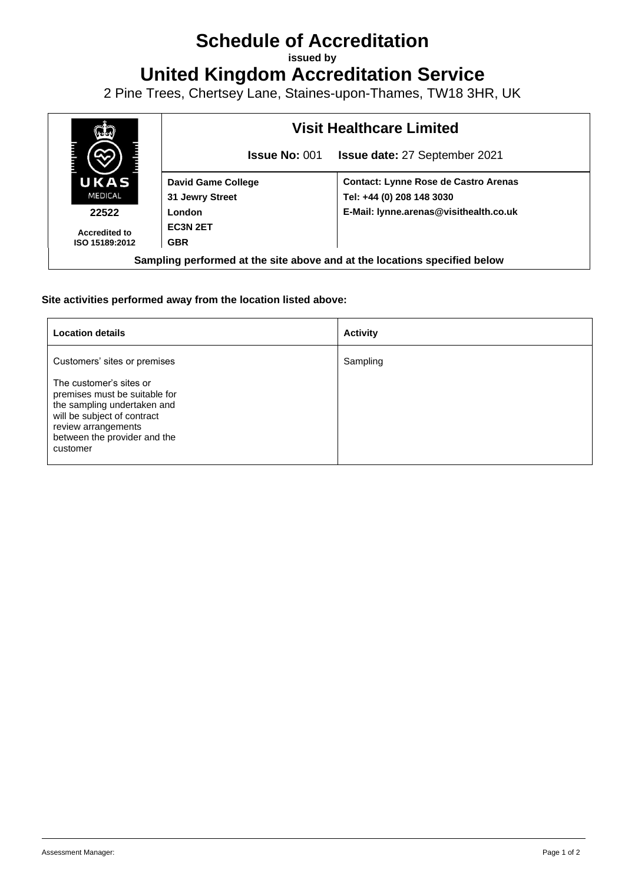## **Schedule of Accreditation**

**issued by**

**United Kingdom Accreditation Service**

2 Pine Trees, Chertsey Lane, Staines-upon-Thames, TW18 3HR, UK



## **Site activities performed away from the location listed above:**

| <b>Location details</b>                                                                                                                                                                   | <b>Activity</b> |
|-------------------------------------------------------------------------------------------------------------------------------------------------------------------------------------------|-----------------|
| Customers' sites or premises                                                                                                                                                              | Sampling        |
| The customer's sites or<br>premises must be suitable for<br>the sampling undertaken and<br>will be subject of contract<br>review arrangements<br>between the provider and the<br>customer |                 |